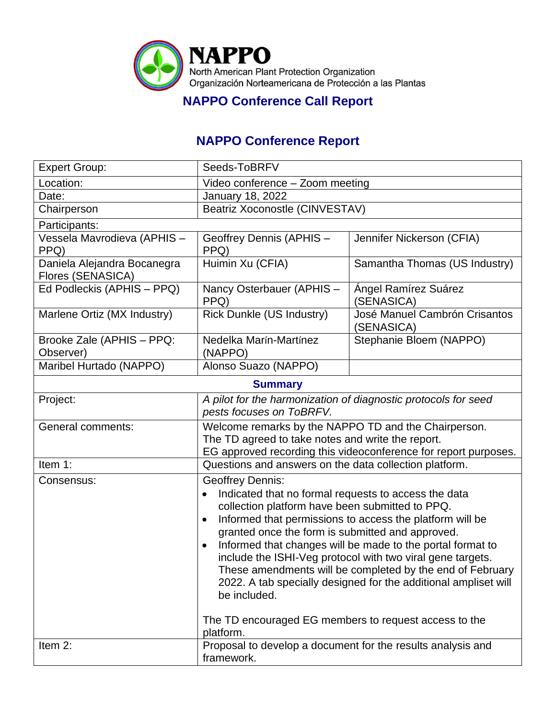

## **NAPPO Conference Call Report**

## **NAPPO Conference Report**

| <b>Expert Group:</b>                             | Seeds-ToBRFV                                                                                                                                                                                                                                                                                                                                                                                                                                                                                                                                             |                                             |  |
|--------------------------------------------------|----------------------------------------------------------------------------------------------------------------------------------------------------------------------------------------------------------------------------------------------------------------------------------------------------------------------------------------------------------------------------------------------------------------------------------------------------------------------------------------------------------------------------------------------------------|---------------------------------------------|--|
| Location:                                        | Video conference - Zoom meeting                                                                                                                                                                                                                                                                                                                                                                                                                                                                                                                          |                                             |  |
| Date:                                            | <b>January 18, 2022</b>                                                                                                                                                                                                                                                                                                                                                                                                                                                                                                                                  |                                             |  |
| Chairperson                                      | Beatriz Xoconostle (CINVESTAV)                                                                                                                                                                                                                                                                                                                                                                                                                                                                                                                           |                                             |  |
| Participants:                                    |                                                                                                                                                                                                                                                                                                                                                                                                                                                                                                                                                          |                                             |  |
| Vessela Mavrodieva (APHIS -<br>PPQ)              | Geoffrey Dennis (APHIS -<br>PPQ)                                                                                                                                                                                                                                                                                                                                                                                                                                                                                                                         | Jennifer Nickerson (CFIA)                   |  |
| Daniela Alejandra Bocanegra<br>Flores (SENASICA) | Huimin Xu (CFIA)                                                                                                                                                                                                                                                                                                                                                                                                                                                                                                                                         | Samantha Thomas (US Industry)               |  |
| Ed Podleckis (APHIS - PPQ)                       | Nancy Osterbauer (APHIS -<br>PPQ)                                                                                                                                                                                                                                                                                                                                                                                                                                                                                                                        | Ángel Ramírez Suárez<br>(SENASICA)          |  |
| Marlene Ortiz (MX Industry)                      | Rick Dunkle (US Industry)                                                                                                                                                                                                                                                                                                                                                                                                                                                                                                                                | José Manuel Cambrón Crisantos<br>(SENASICA) |  |
| Brooke Zale (APHIS - PPQ:<br>Observer)           | Nedelka Marín-Martínez<br>(NAPPO)                                                                                                                                                                                                                                                                                                                                                                                                                                                                                                                        | Stephanie Bloem (NAPPO)                     |  |
| Maribel Hurtado (NAPPO)                          | Alonso Suazo (NAPPO)                                                                                                                                                                                                                                                                                                                                                                                                                                                                                                                                     |                                             |  |
|                                                  | <b>Summary</b>                                                                                                                                                                                                                                                                                                                                                                                                                                                                                                                                           |                                             |  |
| Project:                                         | A pilot for the harmonization of diagnostic protocols for seed<br>pests focuses on ToBRFV.                                                                                                                                                                                                                                                                                                                                                                                                                                                               |                                             |  |
| General comments:                                | Welcome remarks by the NAPPO TD and the Chairperson.<br>The TD agreed to take notes and write the report.<br>EG approved recording this videoconference for report purposes.                                                                                                                                                                                                                                                                                                                                                                             |                                             |  |
| Item 1:                                          | Questions and answers on the data collection platform.                                                                                                                                                                                                                                                                                                                                                                                                                                                                                                   |                                             |  |
| Consensus:                                       | <b>Geoffrey Dennis:</b><br>Indicated that no formal requests to access the data<br>$\bullet$<br>collection platform have been submitted to PPQ.<br>Informed that permissions to access the platform will be<br>$\bullet$<br>granted once the form is submitted and approved.<br>Informed that changes will be made to the portal format to<br>include the ISHI-Veg protocol with two viral gene targets.<br>These amendments will be completed by the end of February<br>2022. A tab specially designed for the additional ampliset will<br>be included. |                                             |  |
|                                                  | The TD encouraged EG members to request access to the<br>platform.                                                                                                                                                                                                                                                                                                                                                                                                                                                                                       |                                             |  |
| Item 2:                                          | Proposal to develop a document for the results analysis and<br>framework.                                                                                                                                                                                                                                                                                                                                                                                                                                                                                |                                             |  |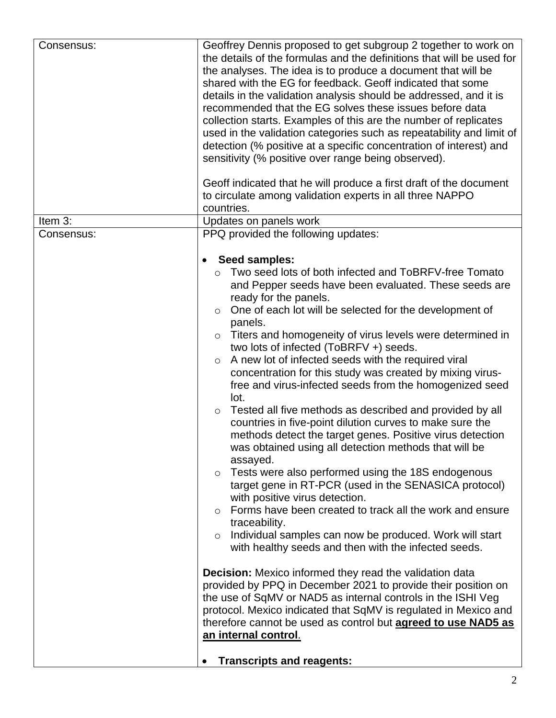| Consensus: | Geoffrey Dennis proposed to get subgroup 2 together to work on<br>the details of the formulas and the definitions that will be used for<br>the analyses. The idea is to produce a document that will be<br>shared with the EG for feedback. Geoff indicated that some<br>details in the validation analysis should be addressed, and it is<br>recommended that the EG solves these issues before data<br>collection starts. Examples of this are the number of replicates<br>used in the validation categories such as repeatability and limit of<br>detection (% positive at a specific concentration of interest) and |
|------------|-------------------------------------------------------------------------------------------------------------------------------------------------------------------------------------------------------------------------------------------------------------------------------------------------------------------------------------------------------------------------------------------------------------------------------------------------------------------------------------------------------------------------------------------------------------------------------------------------------------------------|
|            | sensitivity (% positive over range being observed).<br>Geoff indicated that he will produce a first draft of the document                                                                                                                                                                                                                                                                                                                                                                                                                                                                                               |
|            | to circulate among validation experts in all three NAPPO<br>countries.                                                                                                                                                                                                                                                                                                                                                                                                                                                                                                                                                  |
| Item 3:    | Updates on panels work                                                                                                                                                                                                                                                                                                                                                                                                                                                                                                                                                                                                  |
| Consensus: | PPQ provided the following updates:                                                                                                                                                                                                                                                                                                                                                                                                                                                                                                                                                                                     |
|            | Seed samples:                                                                                                                                                                                                                                                                                                                                                                                                                                                                                                                                                                                                           |
|            | Two seed lots of both infected and ToBRFV-free Tomato                                                                                                                                                                                                                                                                                                                                                                                                                                                                                                                                                                   |
|            | $\circ$<br>and Pepper seeds have been evaluated. These seeds are                                                                                                                                                                                                                                                                                                                                                                                                                                                                                                                                                        |
|            | ready for the panels.                                                                                                                                                                                                                                                                                                                                                                                                                                                                                                                                                                                                   |
|            | One of each lot will be selected for the development of<br>$\circ$                                                                                                                                                                                                                                                                                                                                                                                                                                                                                                                                                      |
|            | panels.                                                                                                                                                                                                                                                                                                                                                                                                                                                                                                                                                                                                                 |
|            | Titers and homogeneity of virus levels were determined in<br>$\circ$                                                                                                                                                                                                                                                                                                                                                                                                                                                                                                                                                    |
|            | two lots of infected (ToBRFV +) seeds.                                                                                                                                                                                                                                                                                                                                                                                                                                                                                                                                                                                  |
|            | A new lot of infected seeds with the required viral<br>$\circ$                                                                                                                                                                                                                                                                                                                                                                                                                                                                                                                                                          |
|            | concentration for this study was created by mixing virus-                                                                                                                                                                                                                                                                                                                                                                                                                                                                                                                                                               |
|            | free and virus-infected seeds from the homogenized seed                                                                                                                                                                                                                                                                                                                                                                                                                                                                                                                                                                 |
|            | lot.                                                                                                                                                                                                                                                                                                                                                                                                                                                                                                                                                                                                                    |
|            | Tested all five methods as described and provided by all<br>$\circ$                                                                                                                                                                                                                                                                                                                                                                                                                                                                                                                                                     |
|            | countries in five-point dilution curves to make sure the                                                                                                                                                                                                                                                                                                                                                                                                                                                                                                                                                                |
|            | methods detect the target genes. Positive virus detection                                                                                                                                                                                                                                                                                                                                                                                                                                                                                                                                                               |
|            | was obtained using all detection methods that will be                                                                                                                                                                                                                                                                                                                                                                                                                                                                                                                                                                   |
|            | assayed.                                                                                                                                                                                                                                                                                                                                                                                                                                                                                                                                                                                                                |
|            | Tests were also performed using the 18S endogenous<br>$\circ$                                                                                                                                                                                                                                                                                                                                                                                                                                                                                                                                                           |
|            | target gene in RT-PCR (used in the SENASICA protocol)                                                                                                                                                                                                                                                                                                                                                                                                                                                                                                                                                                   |
|            | with positive virus detection.                                                                                                                                                                                                                                                                                                                                                                                                                                                                                                                                                                                          |
|            | Forms have been created to track all the work and ensure<br>$\bigcirc$                                                                                                                                                                                                                                                                                                                                                                                                                                                                                                                                                  |
|            | traceability.                                                                                                                                                                                                                                                                                                                                                                                                                                                                                                                                                                                                           |
|            | Individual samples can now be produced. Work will start<br>$\circ$                                                                                                                                                                                                                                                                                                                                                                                                                                                                                                                                                      |
|            | with healthy seeds and then with the infected seeds.                                                                                                                                                                                                                                                                                                                                                                                                                                                                                                                                                                    |
|            | <b>Decision:</b> Mexico informed they read the validation data                                                                                                                                                                                                                                                                                                                                                                                                                                                                                                                                                          |
|            | provided by PPQ in December 2021 to provide their position on                                                                                                                                                                                                                                                                                                                                                                                                                                                                                                                                                           |
|            | the use of SqMV or NAD5 as internal controls in the ISHI Veg                                                                                                                                                                                                                                                                                                                                                                                                                                                                                                                                                            |
|            | protocol. Mexico indicated that SqMV is regulated in Mexico and                                                                                                                                                                                                                                                                                                                                                                                                                                                                                                                                                         |
|            | therefore cannot be used as control but <b>agreed to use NAD5 as</b>                                                                                                                                                                                                                                                                                                                                                                                                                                                                                                                                                    |
|            | an internal control.                                                                                                                                                                                                                                                                                                                                                                                                                                                                                                                                                                                                    |
|            | <b>Transcripts and reagents:</b>                                                                                                                                                                                                                                                                                                                                                                                                                                                                                                                                                                                        |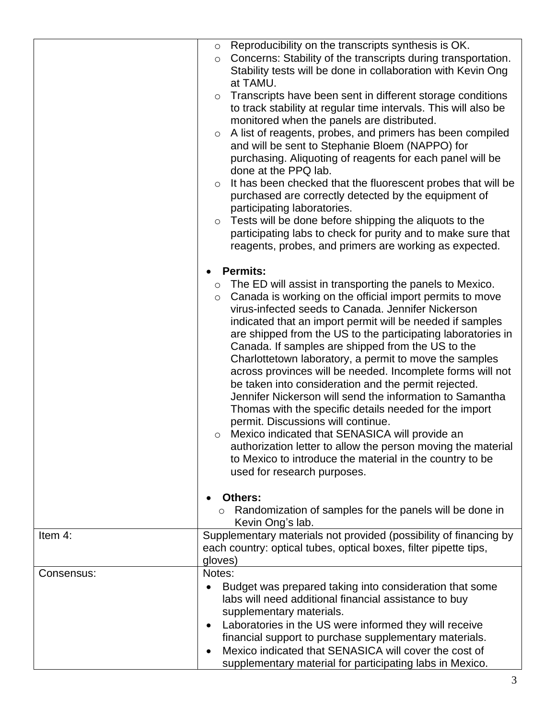|            | Reproducibility on the transcripts synthesis is OK.<br>$\circ$<br>Concerns: Stability of the transcripts during transportation.<br>$\circ$<br>Stability tests will be done in collaboration with Kevin Ong<br>at TAMU.<br>Transcripts have been sent in different storage conditions<br>$\circ$<br>to track stability at regular time intervals. This will also be<br>monitored when the panels are distributed.<br>A list of reagents, probes, and primers has been compiled<br>$\circ$<br>and will be sent to Stephanie Bloem (NAPPO) for<br>purchasing. Aliquoting of reagents for each panel will be<br>done at the PPQ lab.<br>It has been checked that the fluorescent probes that will be<br>$\circ$                                                                                                                                                                                                                                                               |
|------------|---------------------------------------------------------------------------------------------------------------------------------------------------------------------------------------------------------------------------------------------------------------------------------------------------------------------------------------------------------------------------------------------------------------------------------------------------------------------------------------------------------------------------------------------------------------------------------------------------------------------------------------------------------------------------------------------------------------------------------------------------------------------------------------------------------------------------------------------------------------------------------------------------------------------------------------------------------------------------|
|            | purchased are correctly detected by the equipment of<br>participating laboratories.<br>Tests will be done before shipping the aliquots to the<br>$\circ$<br>participating labs to check for purity and to make sure that<br>reagents, probes, and primers are working as expected.                                                                                                                                                                                                                                                                                                                                                                                                                                                                                                                                                                                                                                                                                        |
|            | <b>Permits:</b><br>The ED will assist in transporting the panels to Mexico.<br>$\circ$<br>Canada is working on the official import permits to move<br>$\circ$<br>virus-infected seeds to Canada. Jennifer Nickerson<br>indicated that an import permit will be needed if samples<br>are shipped from the US to the participating laboratories in<br>Canada. If samples are shipped from the US to the<br>Charlottetown laboratory, a permit to move the samples<br>across provinces will be needed. Incomplete forms will not<br>be taken into consideration and the permit rejected.<br>Jennifer Nickerson will send the information to Samantha<br>Thomas with the specific details needed for the import<br>permit. Discussions will continue.<br>Mexico indicated that SENASICA will provide an<br>$\circ$<br>authorization letter to allow the person moving the material<br>to Mexico to introduce the material in the country to be<br>used for research purposes. |
|            | Others:<br>Randomization of samples for the panels will be done in<br>$\circ$<br>Kevin Ong's lab.                                                                                                                                                                                                                                                                                                                                                                                                                                                                                                                                                                                                                                                                                                                                                                                                                                                                         |
| Item 4:    | Supplementary materials not provided (possibility of financing by<br>each country: optical tubes, optical boxes, filter pipette tips,<br>gloves)                                                                                                                                                                                                                                                                                                                                                                                                                                                                                                                                                                                                                                                                                                                                                                                                                          |
| Consensus: | Notes:<br>Budget was prepared taking into consideration that some<br>labs will need additional financial assistance to buy<br>supplementary materials.<br>Laboratories in the US were informed they will receive<br>financial support to purchase supplementary materials.<br>Mexico indicated that SENASICA will cover the cost of<br>supplementary material for participating labs in Mexico.                                                                                                                                                                                                                                                                                                                                                                                                                                                                                                                                                                           |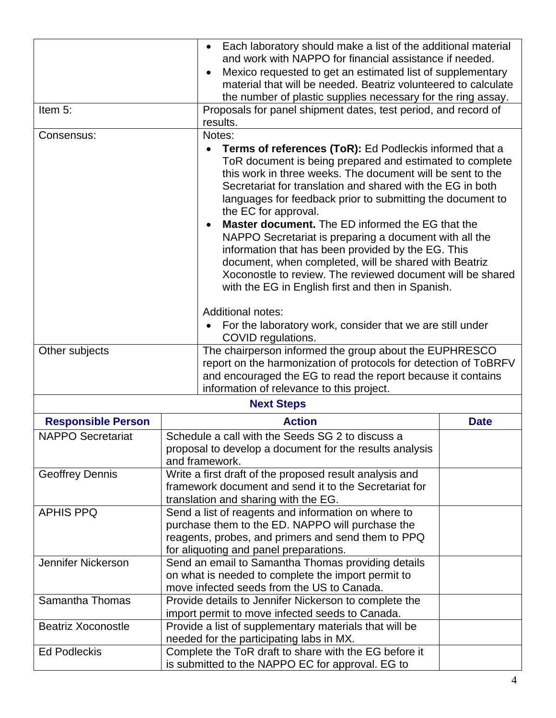|                           |                                                                                                                                                    | Each laboratory should make a list of the additional material<br>$\bullet$<br>and work with NAPPO for financial assistance if needed.                                                                                                                                                                                                                                                                                                                                                                                                                                                                                                                                                                                                                                                                       |             |  |
|---------------------------|----------------------------------------------------------------------------------------------------------------------------------------------------|-------------------------------------------------------------------------------------------------------------------------------------------------------------------------------------------------------------------------------------------------------------------------------------------------------------------------------------------------------------------------------------------------------------------------------------------------------------------------------------------------------------------------------------------------------------------------------------------------------------------------------------------------------------------------------------------------------------------------------------------------------------------------------------------------------------|-------------|--|
|                           |                                                                                                                                                    | Mexico requested to get an estimated list of supplementary                                                                                                                                                                                                                                                                                                                                                                                                                                                                                                                                                                                                                                                                                                                                                  |             |  |
|                           | material that will be needed. Beatriz volunteered to calculate                                                                                     |                                                                                                                                                                                                                                                                                                                                                                                                                                                                                                                                                                                                                                                                                                                                                                                                             |             |  |
| Item 5:                   |                                                                                                                                                    | the number of plastic supplies necessary for the ring assay.                                                                                                                                                                                                                                                                                                                                                                                                                                                                                                                                                                                                                                                                                                                                                |             |  |
|                           |                                                                                                                                                    | Proposals for panel shipment dates, test period, and record of<br>results.                                                                                                                                                                                                                                                                                                                                                                                                                                                                                                                                                                                                                                                                                                                                  |             |  |
| Consensus:                |                                                                                                                                                    | Notes:                                                                                                                                                                                                                                                                                                                                                                                                                                                                                                                                                                                                                                                                                                                                                                                                      |             |  |
|                           |                                                                                                                                                    | Terms of references (ToR): Ed Podleckis informed that a<br>ToR document is being prepared and estimated to complete<br>this work in three weeks. The document will be sent to the<br>Secretariat for translation and shared with the EG in both<br>languages for feedback prior to submitting the document to<br>the EC for approval.<br><b>Master document.</b> The ED informed the EG that the<br>NAPPO Secretariat is preparing a document with all the<br>information that has been provided by the EG. This<br>document, when completed, will be shared with Beatriz<br>Xoconostle to review. The reviewed document will be shared<br>with the EG in English first and then in Spanish.<br><b>Additional notes:</b><br>For the laboratory work, consider that we are still under<br>COVID regulations. |             |  |
| Other subjects            |                                                                                                                                                    | The chairperson informed the group about the EUPHRESCO                                                                                                                                                                                                                                                                                                                                                                                                                                                                                                                                                                                                                                                                                                                                                      |             |  |
|                           |                                                                                                                                                    | report on the harmonization of protocols for detection of ToBRFV<br>and encouraged the EG to read the report because it contains<br>information of relevance to this project.                                                                                                                                                                                                                                                                                                                                                                                                                                                                                                                                                                                                                               |             |  |
|                           |                                                                                                                                                    | <b>Next Steps</b>                                                                                                                                                                                                                                                                                                                                                                                                                                                                                                                                                                                                                                                                                                                                                                                           |             |  |
| <b>Responsible Person</b> |                                                                                                                                                    | <b>Action</b>                                                                                                                                                                                                                                                                                                                                                                                                                                                                                                                                                                                                                                                                                                                                                                                               | <b>Date</b> |  |
| <b>NAPPO Secretariat</b>  | Schedule a call with the Seeds SG 2 to discuss a<br>proposal to develop a document for the results analysis<br>and framework.                      |                                                                                                                                                                                                                                                                                                                                                                                                                                                                                                                                                                                                                                                                                                                                                                                                             |             |  |
| <b>Geoffrey Dennis</b>    | Write a first draft of the proposed result analysis and                                                                                            |                                                                                                                                                                                                                                                                                                                                                                                                                                                                                                                                                                                                                                                                                                                                                                                                             |             |  |
|                           |                                                                                                                                                    | framework document and send it to the Secretariat for                                                                                                                                                                                                                                                                                                                                                                                                                                                                                                                                                                                                                                                                                                                                                       |             |  |
|                           |                                                                                                                                                    | translation and sharing with the EG.                                                                                                                                                                                                                                                                                                                                                                                                                                                                                                                                                                                                                                                                                                                                                                        |             |  |
| <b>APHIS PPQ</b>          | Send a list of reagents and information on where to                                                                                                |                                                                                                                                                                                                                                                                                                                                                                                                                                                                                                                                                                                                                                                                                                                                                                                                             |             |  |
|                           |                                                                                                                                                    | purchase them to the ED. NAPPO will purchase the<br>reagents, probes, and primers and send them to PPQ                                                                                                                                                                                                                                                                                                                                                                                                                                                                                                                                                                                                                                                                                                      |             |  |
|                           |                                                                                                                                                    |                                                                                                                                                                                                                                                                                                                                                                                                                                                                                                                                                                                                                                                                                                                                                                                                             |             |  |
| Jennifer Nickerson        | for aliquoting and panel preparations.<br>Send an email to Samantha Thomas providing details<br>on what is needed to complete the import permit to |                                                                                                                                                                                                                                                                                                                                                                                                                                                                                                                                                                                                                                                                                                                                                                                                             |             |  |
|                           |                                                                                                                                                    |                                                                                                                                                                                                                                                                                                                                                                                                                                                                                                                                                                                                                                                                                                                                                                                                             |             |  |
|                           |                                                                                                                                                    | move infected seeds from the US to Canada.                                                                                                                                                                                                                                                                                                                                                                                                                                                                                                                                                                                                                                                                                                                                                                  |             |  |
| Samantha Thomas           | Provide details to Jennifer Nickerson to complete the                                                                                              |                                                                                                                                                                                                                                                                                                                                                                                                                                                                                                                                                                                                                                                                                                                                                                                                             |             |  |
|                           |                                                                                                                                                    | import permit to move infected seeds to Canada.                                                                                                                                                                                                                                                                                                                                                                                                                                                                                                                                                                                                                                                                                                                                                             |             |  |
| <b>Beatriz Xoconostle</b> |                                                                                                                                                    | Provide a list of supplementary materials that will be                                                                                                                                                                                                                                                                                                                                                                                                                                                                                                                                                                                                                                                                                                                                                      |             |  |
|                           |                                                                                                                                                    | needed for the participating labs in MX.                                                                                                                                                                                                                                                                                                                                                                                                                                                                                                                                                                                                                                                                                                                                                                    |             |  |
| <b>Ed Podleckis</b>       |                                                                                                                                                    | Complete the ToR draft to share with the EG before it                                                                                                                                                                                                                                                                                                                                                                                                                                                                                                                                                                                                                                                                                                                                                       |             |  |
|                           |                                                                                                                                                    | is submitted to the NAPPO EC for approval. EG to                                                                                                                                                                                                                                                                                                                                                                                                                                                                                                                                                                                                                                                                                                                                                            |             |  |